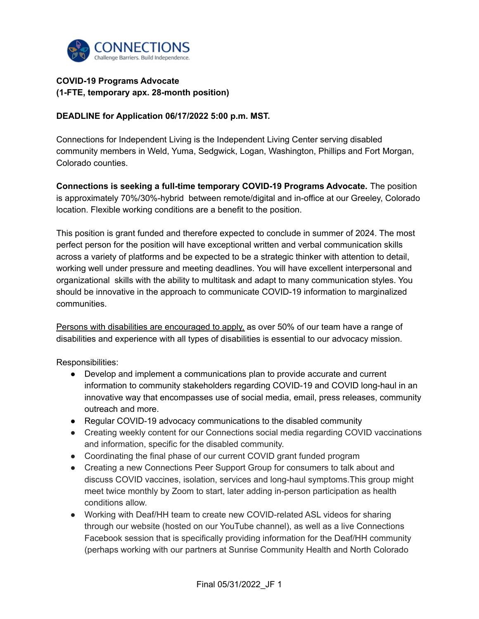

## **COVID-19 Programs Advocate (1-FTE, temporary apx. 28-month position)**

## **DEADLINE for Application 06/17/2022 5:00 p.m. MST.**

Connections for Independent Living is the Independent Living Center serving disabled community members in Weld, Yuma, Sedgwick, Logan, Washington, Phillips and Fort Morgan, Colorado counties.

**Connections is seeking a full-time temporary COVID-19 Programs Advocate.** The position is approximately 70%/30%-hybrid between remote/digital and in-office at our Greeley, Colorado location. Flexible working conditions are a benefit to the position.

This position is grant funded and therefore expected to conclude in summer of 2024. The most perfect person for the position will have exceptional written and verbal communication skills across a variety of platforms and be expected to be a strategic thinker with attention to detail, working well under pressure and meeting deadlines. You will have excellent interpersonal and organizational skills with the ability to multitask and adapt to many communication styles. You should be innovative in the approach to communicate COVID-19 information to marginalized communities.

Persons with disabilities are encouraged to apply, as over 50% of our team have a range of disabilities and experience with all types of disabilities is essential to our advocacy mission.

Responsibilities:

- Develop and implement a communications plan to provide accurate and current information to community stakeholders regarding COVID-19 and COVID long-haul in an innovative way that encompasses use of social media, email, press releases, community outreach and more.
- Regular COVID-19 advocacy communications to the disabled community
- Creating weekly content for our Connections social media regarding COVID vaccinations and information, specific for the disabled community.
- Coordinating the final phase of our current COVID grant funded program
- Creating a new Connections Peer Support Group for consumers to talk about and discuss COVID vaccines, isolation, services and long-haul symptoms.This group might meet twice monthly by Zoom to start, later adding in-person participation as health conditions allow.
- Working with Deaf/HH team to create new COVID-related ASL videos for sharing through our website (hosted on our YouTube channel), as well as a live Connections Facebook session that is specifically providing information for the Deaf/HH community (perhaps working with our partners at Sunrise Community Health and North Colorado